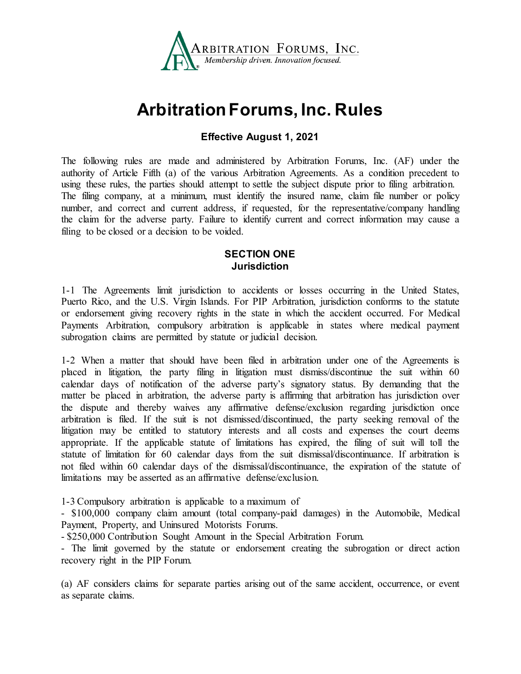

# **Arbitration Forums, Inc. Rules**

# **Effective August 1, 2021**

The following rules are made and administered by Arbitration Forums, Inc. (AF) under the authority of Article Fifth (a) of the various Arbitration Agreements. As a condition precedent to using these rules, the parties should attempt to settle the subject dispute prior to filing arbitration. The filing company, at a minimum, must identify the insured name, claim file number or policy number, and correct and current address, if requested, for the representative/company handling the claim for the adverse party. Failure to identify current and correct information may cause a filing to be closed or a decision to be voided.

# **SECTION ONE Jurisdiction**

1-1 The Agreements limit jurisdiction to accidents or losses occurring in the United States, Puerto Rico, and the U.S. Virgin Islands. For PIP Arbitration, jurisdiction conforms to the statute or endorsement giving recovery rights in the state in which the accident occurred. For Medical Payments Arbitration, compulsory arbitration is applicable in states where medical payment subrogation claims are permitted by statute or judicial decision.

1-2 When a matter that should have been filed in arbitration under one of the Agreements is placed in litigation, the party filing in litigation must dismiss/discontinue the suit within 60 calendar days of notification of the adverse party's signatory status. By demanding that the matter be placed in arbitration, the adverse party is affirming that arbitration has jurisdiction over the dispute and thereby waives any affirmative defense/exclusion regarding jurisdiction once arbitration is filed. If the suit is not dismissed/discontinued, the party seeking removal of the litigation may be entitled to statutory interests and all costs and expenses the court deems appropriate. If the applicable statute of limitations has expired, the filing of suit will toll the statute of limitation for 60 calendar days from the suit dismissal/discontinuance. If arbitration is not filed within 60 calendar days of the dismissal/discontinuance, the expiration of the statute of limitations may be asserted as an affirmative defense/exclusion.

1-3 Compulsory arbitration is applicable to a maximum of

- \$100,000 company claim amount (total company-paid damages) in the Automobile, Medical Payment, Property, and Uninsured Motorists Forums.

- \$250,000 Contribution Sought Amount in the Special Arbitration Forum.

- The limit governed by the statute or endorsement creating the subrogation or direct action recovery right in the PIP Forum.

(a) AF considers claims for separate parties arising out of the same accident, occurrence, or event as separate claims.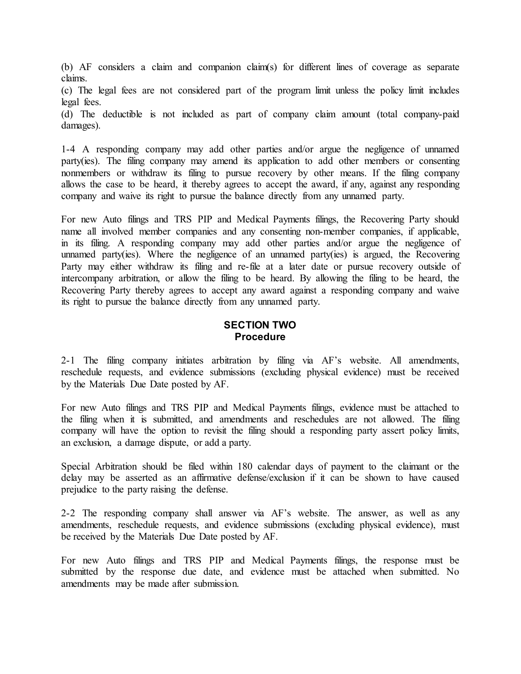(b) AF considers a claim and companion claim(s) for different lines of coverage as separate claims.

(c) The legal fees are not considered part of the program limit unless the policy limit includes legal fees.

(d) The deductible is not included as part of company claim amount (total company-paid damages).

1-4 A responding company may add other parties and/or argue the negligence of unnamed party(ies). The filing company may amend its application to add other members or consenting nonmembers or withdraw its filing to pursue recovery by other means. If the filing company allows the case to be heard, it thereby agrees to accept the award, if any, against any responding company and waive its right to pursue the balance directly from any unnamed party.

For new Auto filings and TRS PIP and Medical Payments filings, the Recovering Party should name all involved member companies and any consenting non-member companies, if applicable, in its filing. A responding company may add other parties and/or argue the negligence of unnamed party(ies). Where the negligence of an unnamed party(ies) is argued, the Recovering Party may either withdraw its filing and re-file at a later date or pursue recovery outside of intercompany arbitration, or allow the filing to be heard. By allowing the filing to be heard, the Recovering Party thereby agrees to accept any award against a responding company and waive its right to pursue the balance directly from any unnamed party.

## **SECTION TWO Procedure**

2-1 The filing company initiates arbitration by filing via AF's website. All amendments, reschedule requests, and evidence submissions (excluding physical evidence) must be received by the Materials Due Date posted by AF.

For new Auto filings and TRS PIP and Medical Payments filings, evidence must be attached to the filing when it is submitted, and amendments and reschedules are not allowed. The filing company will have the option to revisit the filing should a responding party assert policy limits, an exclusion, a damage dispute, or add a party.

Special Arbitration should be filed within 180 calendar days of payment to the claimant or the delay may be asserted as an affirmative defense/exclusion if it can be shown to have caused prejudice to the party raising the defense.

2-2 The responding company shall answer via AF's website. The answer, as well as any amendments, reschedule requests, and evidence submissions (excluding physical evidence), must be received by the Materials Due Date posted by AF.

For new Auto filings and TRS PIP and Medical Payments filings, the response must be submitted by the response due date, and evidence must be attached when submitted. No amendments may be made after submission.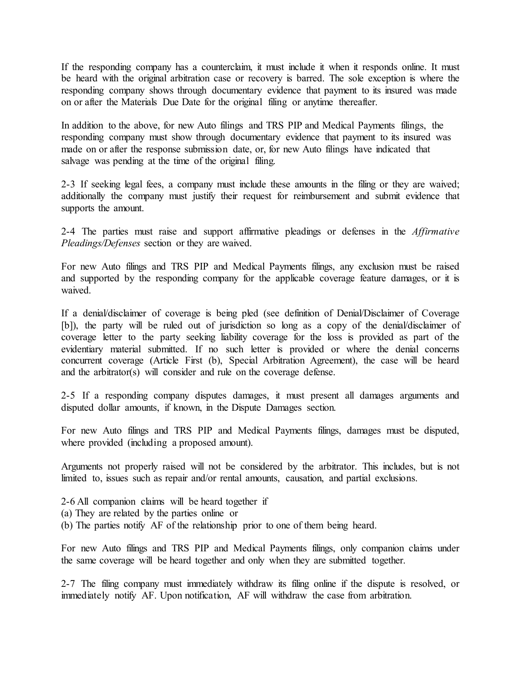If the responding company has a counterclaim, it must include it when it responds online. It must be heard with the original arbitration case or recovery is barred. The sole exception is where the responding company shows through documentary evidence that payment to its insured was made on or after the Materials Due Date for the original filing or anytime thereafter.

In addition to the above, for new Auto filings and TRS PIP and Medical Payments filings, the responding company must show through documentary evidence that payment to its insured was made on or after the response submission date, or, for new Auto filings have indicated that salvage was pending at the time of the original filing.

2-3 If seeking legal fees, a company must include these amounts in the filing or they are waived; additionally the company must justify their request for reimbursement and submit evidence that supports the amount.

2-4 The parties must raise and support affirmative pleadings or defenses in the *Affirmative Pleadings/Defenses* section or they are waived.

For new Auto filings and TRS PIP and Medical Payments filings, any exclusion must be raised and supported by the responding company for the applicable coverage feature damages, or it is waived.

If a denial/disclaimer of coverage is being pled (see definition of Denial/Disclaimer of Coverage [b]), the party will be ruled out of jurisdiction so long as a copy of the denial/disclaimer of coverage letter to the party seeking liability coverage for the loss is provided as part of the evidentiary material submitted. If no such letter is provided or where the denial concerns concurrent coverage (Article First (b), Special Arbitration Agreement), the case will be heard and the arbitrator(s) will consider and rule on the coverage defense.

2-5 If a responding company disputes damages, it must present all damages arguments and disputed dollar amounts, if known, in the Dispute Damages section.

For new Auto filings and TRS PIP and Medical Payments filings, damages must be disputed, where provided (including a proposed amount).

Arguments not properly raised will not be considered by the arbitrator. This includes, but is not limited to, issues such as repair and/or rental amounts, causation, and partial exclusions.

- 2-6 All companion claims will be heard together if
- (a) They are related by the parties online or
- (b) The parties notify AF of the relationship prior to one of them being heard.

For new Auto filings and TRS PIP and Medical Payments filings, only companion claims under the same coverage will be heard together and only when they are submitted together.

2-7 The filing company must immediately withdraw its filing online if the dispute is resolved, or immediately notify AF. Upon notification, AF will withdraw the case from arbitration.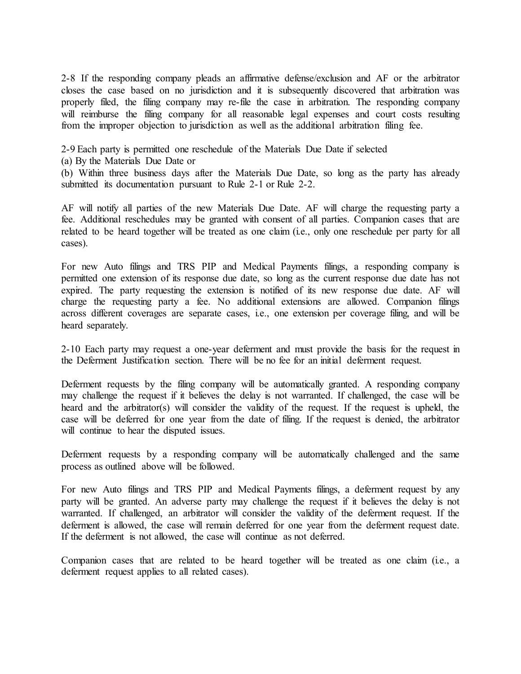2-8 If the responding company pleads an affirmative defense/exclusion and AF or the arbitrator closes the case based on no jurisdiction and it is subsequently discovered that arbitration was properly filed, the filing company may re-file the case in arbitration. The responding company will reimburse the filing company for all reasonable legal expenses and court costs resulting from the improper objection to jurisdiction as well as the additional arbitration filing fee.

2-9 Each party is permitted one reschedule of the Materials Due Date if selected

(a) By the Materials Due Date or

(b) Within three business days after the Materials Due Date, so long as the party has already submitted its documentation pursuant to Rule 2-1 or Rule 2-2.

AF will notify all parties of the new Materials Due Date. AF will charge the requesting party a fee. Additional reschedules may be granted with consent of all parties. Companion cases that are related to be heard together will be treated as one claim (i.e., only one reschedule per party for all cases).

For new Auto filings and TRS PIP and Medical Payments filings, a responding company is permitted one extension of its response due date, so long as the current response due date has not expired. The party requesting the extension is notified of its new response due date. AF will charge the requesting party a fee. No additional extensions are allowed. Companion filings across different coverages are separate cases, i.e., one extension per coverage filing, and will be heard separately.

2-10 Each party may request a one-year deferment and must provide the basis for the request in the Deferment Justification section. There will be no fee for an initial deferment request.

Deferment requests by the filing company will be automatically granted. A responding company may challenge the request if it believes the delay is not warranted. If challenged, the case will be heard and the arbitrator(s) will consider the validity of the request. If the request is upheld, the case will be deferred for one year from the date of filing. If the request is denied, the arbitrator will continue to hear the disputed issues.

Deferment requests by a responding company will be automatically challenged and the same process as outlined above will be followed.

For new Auto filings and TRS PIP and Medical Payments filings, a deferment request by any party will be granted. An adverse party may challenge the request if it believes the delay is not warranted. If challenged, an arbitrator will consider the validity of the deferment request. If the deferment is allowed, the case will remain deferred for one year from the deferment request date. If the deferment is not allowed, the case will continue as not deferred.

Companion cases that are related to be heard together will be treated as one claim (i.e., a deferment request applies to all related cases).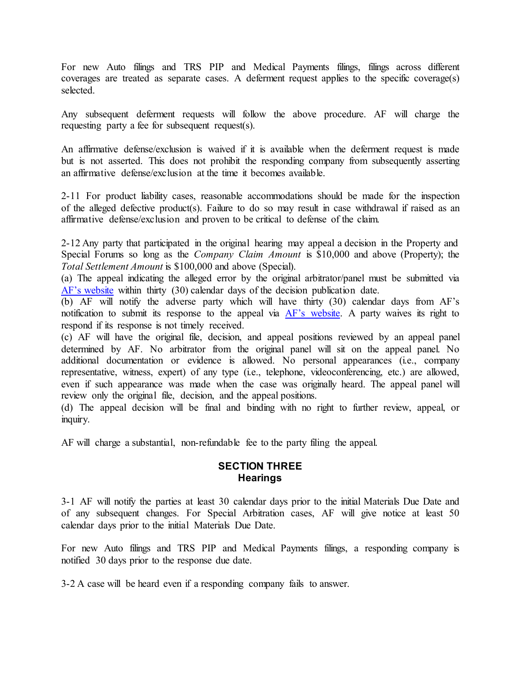For new Auto filings and TRS PIP and Medical Payments filings, filings across different coverages are treated as separate cases. A deferment request applies to the specific coverage(s) selected.

Any subsequent deferment requests will follow the above procedure. AF will charge the requesting party a fee for subsequent request(s).

An affirmative defense/exclusion is waived if it is available when the deferment request is made but is not asserted. This does not prohibit the responding company from subsequently asserting an affirmative defense/exclusion at the time it becomes available.

2-11 For product liability cases, reasonable accommodations should be made for the inspection of the alleged defective product(s). Failure to do so may result in case withdrawal if raised as an affirmative defense/exclusion and proven to be critical to defense of the claim.

2-12 Any party that participated in the original hearing may appeal a decision in the Property and Special Forums so long as the *Company Claim Amount* is \$10,000 and above (Property); the *Total Settlement Amount* is \$100,000 and above (Special).

(a) The appeal indicating the alleged error by the original arbitrator/panel must be submitted via [AF's website](https://www.arbfile.org/webapp/execute/postDecisionInquiry?actionCommand=init) within thirty (30) calendar days of the decision publication date.

(b) AF will notify the adverse party which will have thirty (30) calendar days from AF's notification to submit its response to the appeal via [AF's website.](https://www.arbfile.org/webapp/execute/postDecisionInquiry?actionCommand=init) A party waives its right to respond if its response is not timely received.

(c) AF will have the original file, decision, and appeal positions reviewed by an appeal panel determined by AF. No arbitrator from the original panel will sit on the appeal panel. No additional documentation or evidence is allowed. No personal appearances (i.e., company representative, witness, expert) of any type (i.e., telephone, videoconferencing, etc.) are allowed, even if such appearance was made when the case was originally heard. The appeal panel will review only the original file, decision, and the appeal positions.

(d) The appeal decision will be final and binding with no right to further review, appeal, or inquiry.

AF will charge a substantial, non-refundable fee to the party filing the appeal.

# **SECTION THREE Hearings**

3-1 AF will notify the parties at least 30 calendar days prior to the initial Materials Due Date and of any subsequent changes. For Special Arbitration cases, AF will give notice at least 50 calendar days prior to the initial Materials Due Date.

For new Auto filings and TRS PIP and Medical Payments filings, a responding company is notified 30 days prior to the response due date.

3-2 A case will be heard even if a responding company fails to answer.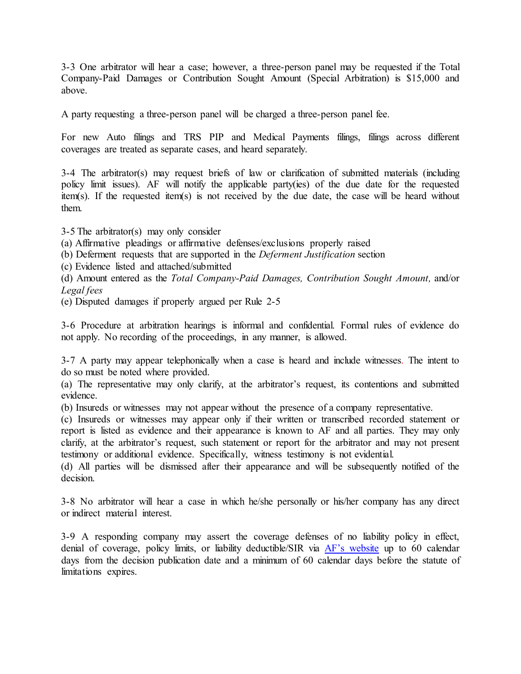3-3 One arbitrator will hear a case; however, a three-person panel may be requested if the Total Company-Paid Damages or Contribution Sought Amount (Special Arbitration) is \$15,000 and above.

A party requesting a three-person panel will be charged a three-person panel fee.

For new Auto filings and TRS PIP and Medical Payments filings, filings across different coverages are treated as separate cases, and heard separately.

3-4 The arbitrator(s) may request briefs of law or clarification of submitted materials (including policy limit issues). AF will notify the applicable party(ies) of the due date for the requested item(s). If the requested item(s) is not received by the due date, the case will be heard without them.

3-5 The arbitrator(s) may only consider (a) Affirmative pleadings or affirmative defenses/exclusions properly raised (b) Deferment requests that are supported in the *Deferment Justification* section (c) Evidence listed and attached/submitted (d) Amount entered as the *Total Company-Paid Damages, Contribution Sought Amount,* and/or *Legal fees*

(e) Disputed damages if properly argued per Rule 2-5

3-6 Procedure at arbitration hearings is informal and confidential. Formal rules of evidence do not apply. No recording of the proceedings, in any manner, is allowed.

3-7 A party may appear telephonically when a case is heard and include witnesses. The intent to do so must be noted where provided.

(a) The representative may only clarify, at the arbitrator's request, its contentions and submitted evidence.

(b) Insureds or witnesses may not appear without the presence of a company representative.

(c) Insureds or witnesses may appear only if their written or transcribed recorded statement or report is listed as evidence and their appearance is known to AF and all parties. They may only clarify, at the arbitrator's request, such statement or report for the arbitrator and may not present testimony or additional evidence. Specifically, witness testimony is not evidential.

(d) All parties will be dismissed after their appearance and will be subsequently notified of the decision.

3-8 No arbitrator will hear a case in which he/she personally or his/her company has any direct or indirect material interest.

3-9 A responding company may assert the coverage defenses of no liability policy in effect, denial of coverage, policy limits, or liability deductible/SIR via [AF's website](https://www.arbfile.org/webapp/execute/postDecisionInquiry?actionCommand=init) up to 60 calendar days from the decision publication date and a minimum of 60 calendar days before the statute of limitations expires.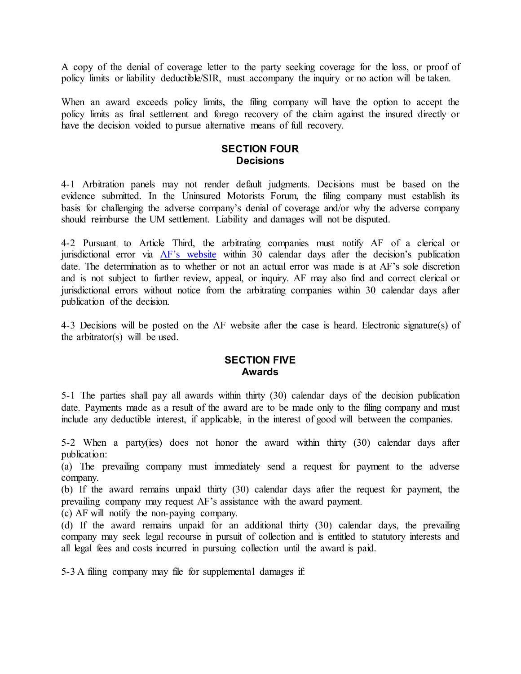A copy of the denial of coverage letter to the party seeking coverage for the loss, or proof of policy limits or liability deductible/SIR, must accompany the inquiry or no action will be taken.

When an award exceeds policy limits, the filing company will have the option to accept the policy limits as final settlement and forego recovery of the claim against the insured directly or have the decision voided to pursue alternative means of full recovery.

#### **SECTION FOUR Decisions**

4-1 Arbitration panels may not render default judgments. Decisions must be based on the evidence submitted. In the Uninsured Motorists Forum, the filing company must establish its basis for challenging the adverse company's denial of coverage and/or why the adverse company should reimburse the UM settlement. Liability and damages will not be disputed.

4-2 Pursuant to Article Third, the arbitrating companies must notify AF of a clerical or jurisdictional error via  $\overline{AF}$ 's website within  $\overline{30}$  calendar days after the decision's publication date. The determination as to whether or not an actual error was made is at AF's sole discretion and is not subject to further review, appeal, or inquiry. AF may also find and correct clerical or jurisdictional errors without notice from the arbitrating companies within 30 calendar days after publication of the decision.

4-3 Decisions will be posted on the AF website after the case is heard. Electronic signature(s) of the arbitrator(s) will be used.

## **SECTION FIVE Awards**

5-1 The parties shall pay all awards within thirty (30) calendar days of the decision publication date. Payments made as a result of the award are to be made only to the filing company and must include any deductible interest, if applicable, in the interest of good will between the companies.

5-2 When a party(ies) does not honor the award within thirty (30) calendar days after publication:

(a) The prevailing company must immediately send a request for payment to the adverse company.

(b) If the award remains unpaid thirty (30) calendar days after the request for payment, the prevailing company may request AF's assistance with the award payment.

(c) AF will notify the non-paying company.

(d) If the award remains unpaid for an additional thirty (30) calendar days, the prevailing company may seek legal recourse in pursuit of collection and is entitled to statutory interests and all legal fees and costs incurred in pursuing collection until the award is paid.

5-3 A filing company may file for supplemental damages if: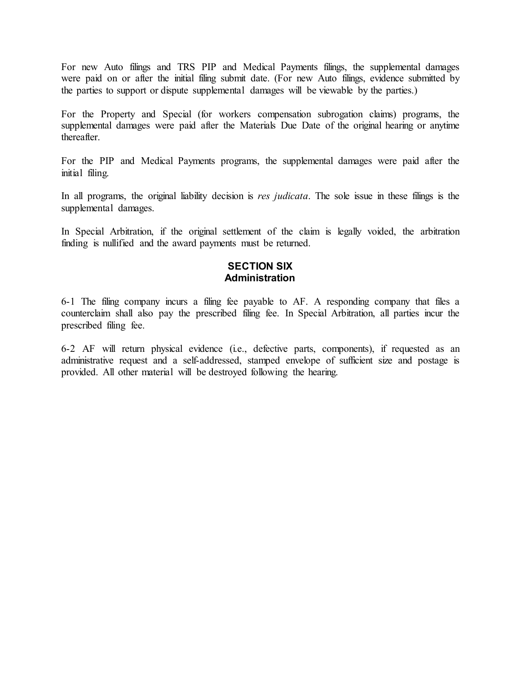For new Auto filings and TRS PIP and Medical Payments filings, the supplemental damages were paid on or after the initial filing submit date. (For new Auto filings, evidence submitted by the parties to support or dispute supplemental damages will be viewable by the parties.)

For the Property and Special (for workers compensation subrogation claims) programs, the supplemental damages were paid after the Materials Due Date of the original hearing or anytime thereafter.

For the PIP and Medical Payments programs, the supplemental damages were paid after the initial filing.

In all programs, the original liability decision is *res judicata*. The sole issue in these filings is the supplemental damages.

In Special Arbitration, if the original settlement of the claim is legally voided, the arbitration finding is nullified and the award payments must be returned.

## **SECTION SIX Administration**

6-1 The filing company incurs a filing fee payable to AF. A responding company that files a counterclaim shall also pay the prescribed filing fee. In Special Arbitration, all parties incur the prescribed filing fee.

6-2 AF will return physical evidence (i.e., defective parts, components), if requested as an administrative request and a self-addressed, stamped envelope of sufficient size and postage is provided. All other material will be destroyed following the hearing.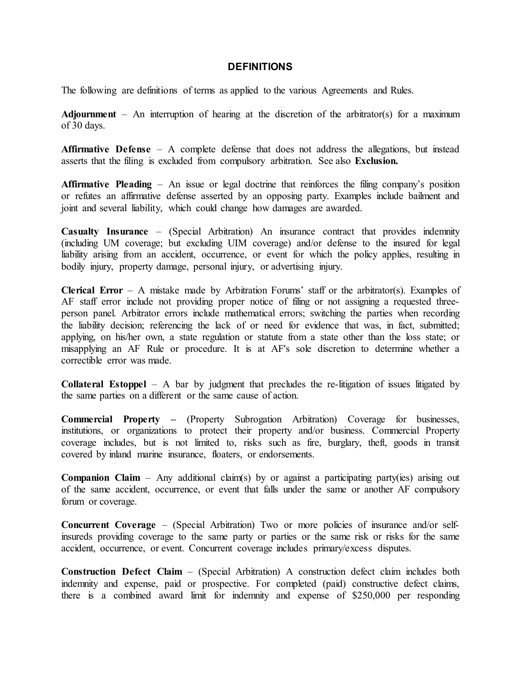#### **DEFINITIONS**

The following are definitions of terms as applied to the various Agreements and Rules.

**Adjournment** – An interruption of hearing at the discretion of the arbitrator(s) for a maximum of 30 days.

**Affirmative Defense** – A complete defense that does not address the allegations, but instead asserts that the filing is excluded from compulsory arbitration. See also **Exclusion.**

**Affirmative Pleading** – An issue or legal doctrine that reinforces the filing company's position or refutes an affirmative defense asserted by an opposing party. Examples include bailment and joint and several liability, which could change how damages are awarded.

**Casualty Insurance** – (Special Arbitration) An insurance contract that provides indemnity (including UM coverage; but excluding UIM coverage) and/or defense to the insured for legal liability arising from an accident, occurrence, or event for which the policy applies, resulting in bodily injury, property damage, personal injury, or advertising injury.

**Clerical Error** – A mistake made by Arbitration Forums' staff or the arbitrator(s). Examples of AF staff error include not providing proper notice of filing or not assigning a requested threeperson panel. Arbitrator errors include mathematical errors; switching the parties when recording the liability decision; referencing the lack of or need for evidence that was, in fact, submitted; applying, on his/her own, a state regulation or statute from a state other than the loss state; or misapplying an AF Rule or procedure. It is at AF's sole discretion to determine whether a correctible error was made.

**Collateral Estoppel** – A bar by judgment that precludes the re-litigation of issues litigated by the same parties on a different or the same cause of action.

**Commercial Property –** (Property Subrogation Arbitration) Coverage for businesses, institutions, or organizations to protect their property and/or business. Commercial Property coverage includes, but is not limited to, risks such as fire, burglary, theft, goods in transit covered by inland marine insurance, floaters, or endorsements.

**Companion Claim** – Any additional claim(s) by or against a participating party(ies) arising out of the same accident, occurrence, or event that falls under the same or another AF compulsory forum or coverage.

**Concurrent Coverage** – (Special Arbitration) Two or more policies of insurance and/or selfinsureds providing coverage to the same party or parties or the same risk or risks for the same accident, occurrence, or event. Concurrent coverage includes primary/excess disputes.

**Construction Defect Claim** – (Special Arbitration) A construction defect claim includes both indemnity and expense, paid or prospective. For completed (paid) constructive defect claims, there is a combined award limit for indemnity and expense of \$250,000 per responding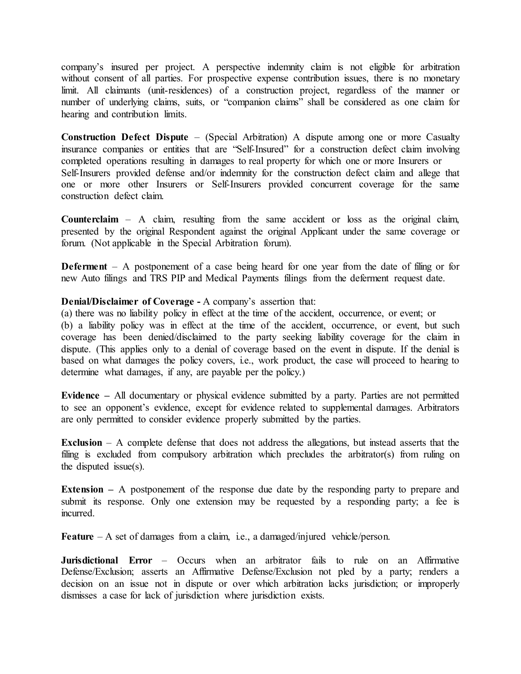company's insured per project. A perspective indemnity claim is not eligible for arbitration without consent of all parties. For prospective expense contribution issues, there is no monetary limit. All claimants (unit-residences) of a construction project, regardless of the manner or number of underlying claims, suits, or "companion claims" shall be considered as one claim for hearing and contribution limits.

**Construction Defect Dispute** – (Special Arbitration) A dispute among one or more Casualty insurance companies or entities that are "Self-Insured" for a construction defect claim involving completed operations resulting in damages to real property for which one or more Insurers or Self-Insurers provided defense and/or indemnity for the construction defect claim and allege that one or more other Insurers or Self-Insurers provided concurrent coverage for the same construction defect claim.

**Counterclaim** – A claim, resulting from the same accident or loss as the original claim, presented by the original Respondent against the original Applicant under the same coverage or forum. (Not applicable in the Special Arbitration forum).

**Deferment** – A postponement of a case being heard for one year from the date of filing or for new Auto filings and TRS PIP and Medical Payments filings from the deferment request date.

### **Denial/Disclaimer of Coverage -** A company's assertion that:

(a) there was no liability policy in effect at the time of the accident, occurrence, or event; or (b) a liability policy was in effect at the time of the accident, occurrence, or event, but such coverage has been denied/disclaimed to the party seeking liability coverage for the claim in dispute. (This applies only to a denial of coverage based on the event in dispute. If the denial is based on what damages the policy covers, i.e., work product, the case will proceed to hearing to determine what damages, if any, are payable per the policy.)

**Evidence –** All documentary or physical evidence submitted by a party. Parties are not permitted to see an opponent's evidence, except for evidence related to supplemental damages. Arbitrators are only permitted to consider evidence properly submitted by the parties.

**Exclusion** – A complete defense that does not address the allegations, but instead asserts that the filing is excluded from compulsory arbitration which precludes the arbitrator(s) from ruling on the disputed issue(s).

**Extension** – A postponement of the response due date by the responding party to prepare and submit its response. Only one extension may be requested by a responding party; a fee is incurred.

**Feature** – A set of damages from a claim, i.e., a damaged/injured vehicle/person.

**Jurisdictional Error** – Occurs when an arbitrator fails to rule on an Affirmative Defense/Exclusion; asserts an Affirmative Defense/Exclusion not pled by a party; renders a decision on an issue not in dispute or over which arbitration lacks jurisdiction; or improperly dismisses a case for lack of jurisdiction where jurisdiction exists.